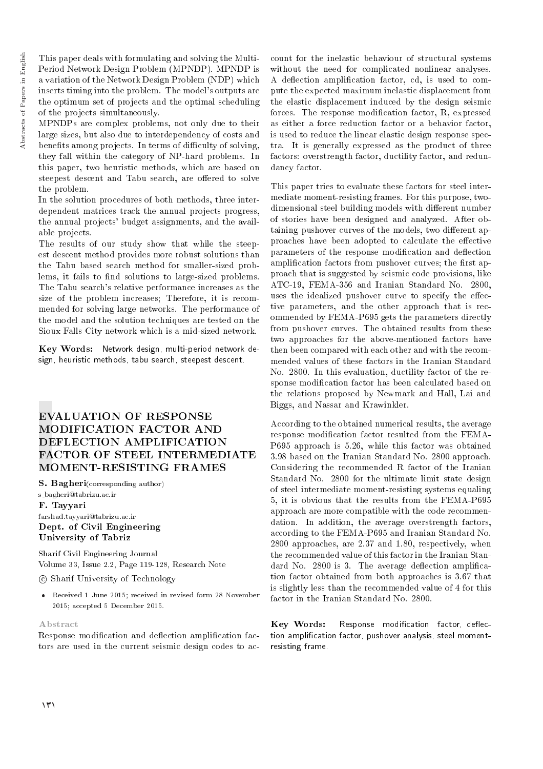Abstracts of Papers in English Abstracts of Papers in English

This paper deals with formulating and solving the Multi-Period Network Design Problem (MPNDP). MPNDP is a variation of the Network Design Problem (NDP) which inserts timing into the problem. The model's outputs are the optimum set of projects and the optimal scheduling of the projects simultaneously.

MPNDPs are complex problems, not only due to their large sizes, but also due to interdependency of costs and benefits among projects. In terms of difficulty of solving, they fall within the category of NP-hard problems. In this paper, two heuristic methods, which are based on steepest descent and Tabu search, are offered to solve the problem.

In the solution procedures of both methods, three interdependent matrices track the annual projects progress, the annual projects' budget assignments, and the available projects.

The results of our study show that while the steepest descent method provides more robust solutions than the Tabu based search method for smaller-sized problems, it fails to find solutions to large-sized problems. The Tabu search's relative performance increases as the size of the problem increases; Therefore, it is recommended for solving large networks. The performance of the model and the solution techniques are tested on the Sioux Falls City network which is a mid-sized network.

Key Words: Network design, multi-period network design, heuristic methods, tabu search, steepest descent.

# EVALUATION OF RESPONSE MODIFICATION FACTOR AND DEFLECTION AMPLIFICATION FACTOR OF STEEL INTERMEDIATE MOMENT-RESISTING FRAMES

S. Bagheri(corresponding author)

s bagheri@tabrizu.ac.ir F. Tayyari farshad.tayyari@tabrizu.ac.ir Dept. of Civil Engineering University of Tabriz

Sharif Civil Engineering Journal Volume 33, Issue 2.2, Page 119-128, Research Note

c Sharif University of Technology

 Received 1 June 2015; received in revised form 28 November 2015; accepted 5 December 2015.

## Abstract

Response modification and deflection amplification factors are used in the current seismic design codes to ac-

count for the inelastic behaviour of structural systems without the need for complicated nonlinear analyses. A deflection amplification factor, cd, is used to compute the expected maximum inelastic displacement from the elastic displacement induced by the design seismic forces. The response modification factor, R, expressed as either a force reduction factor or a behavior factor, is used to reduce the linear elastic design response spectra. It is generally expressed as the product of three factors: overstrength factor, ductility factor, and redundancy factor.

This paper tries to evaluate these factors for steel intermediate moment-resisting frames. For this purpose, twodimensional steel building models with different number of stories have been designed and analyzed. After obtaining pushover curves of the models, two different approaches have been adopted to calculate the effective parameters of the response modification and deflection amplification factors from pushover curves; the first approach that is suggested by seismic code provisions, like ATC-19, FEMA-356 and Iranian Standard No. 2800, uses the idealized pushover curve to specify the effective parameters, and the other approach that is recommended by FEMA-P695 gets the parameters directly from pushover curves. The obtained results from these two approaches for the above-mentioned factors have then been compared with each other and with the recommended values of these factors in the Iranian Standard No. 2800. In this evaluation, ductility factor of the response modication factor has been calculated based on the relations proposed by Newmark and Hall, Lai and Biggs, and Nassar and Krawinkler.

According to the obtained numerical results, the average response modication factor resulted from the FEMA-P695 approach is 5.26, while this factor was obtained 3.98 based on the Iranian Standard No. 2800 approach. Considering the recommended R factor of the Iranian Standard No. 2800 for the ultimate limit state design of steel intermediate moment-resisting systems equaling 5, it is obvious that the results from the FEMA-P695 approach are more compatible with the code recommendation. In addition, the average overstrength factors, according to the FEMA-P695 and Iranian Standard No. 2800 approaches, are 2.37 and 1.80, respectively, when the recommended value of this factor in the Iranian Standard No. 2800 is 3. The average deflection amplification factor obtained from both approaches is 3.67 that is slightly less than the recommended value of 4 for this factor in the Iranian Standard No. 2800.

Key Words: Response modification factor, deflection amplication factor, pushover analysis, steel momentresisting frame.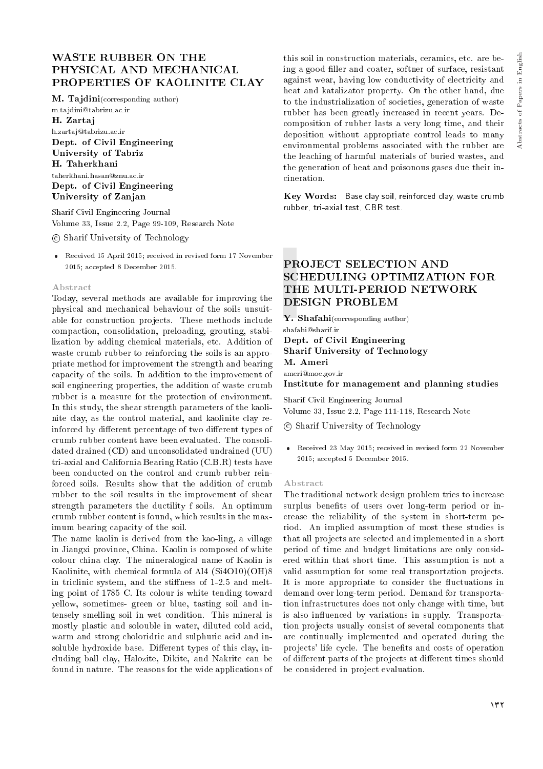# WASTE RUBBER ON THE PHYSICAL AND MECHANICAL PROPERTIES OF KAOLINITE CLAY

M. Tajdini(corresponding author)

m.tajdini@tabrizu.ac.ir H. Zartaj h.zartaj@tabrizu.ac.ir Dept. of Civil Engineering University of Tabriz H. Taherkhani taherkhani.hasan@znu.ac.ir Dept. of Civil Engineering University of Zanjan

Sharif Civil Engineering Journal Volume 33, Issue 2.2, Page 99-109, Research Note

c Sharif University of Technology

 Received 15 April 2015; received in revised form 17 November 2015; accepted 8 December 2015.

## Abstract

Today, several methods are available for improving the physical and mechanical behaviour of the soils unsuitable for construction projects. These methods include compaction, consolidation, preloading, grouting, stabilization by adding chemical materials, etc. Addition of waste crumb rubber to reinforcing the soils is an appropriate method for improvement the strength and bearing capacity of the soils. In addition to the improvement of soil engineering properties, the addition of waste crumb rubber is a measure for the protection of environment. In this study, the shear strength parameters of the kaolinite clay, as the control material, and kaolinite clay reinforced by different percentage of two different types of crumb rubber content have been evaluated. The consolidated drained (CD) and unconsolidated undrained (UU) tri-axial and California Bearing Ratio (C.B.R) tests have been conducted on the control and crumb rubber reinforced soils. Results show that the addition of crumb rubber to the soil results in the improvement of shear strength parameters the ductility f soils. An optimum crumb rubber content is found, which results in the maximum bearing capacity of the soil.

The name kaolin is derived from the kao-ling, a village in Jiangxi province, China. Kaolin is composed of white colour china clay. The mineralogical name of Kaolin is Kaolinite, with chemical formula of Al4 (Si4O10)(OH)8 in triclinic system, and the stiffness of 1-2.5 and melting point of 1785 C. Its colour is white tending toward yellow, sometimes- green or blue, tasting soil and intensely smelling soil in wet condition. This mineral is mostly plastic and solouble in water, diluted cold acid, warm and strong choloridric and sulphuric acid and insoluble hydroxide base. Different types of this clay, including ball clay, Halozite, Dikite, and Nakrite can be found in nature. The reasons for the wide applications of

this soil in construction materials, ceramics, etc. are being a good filler and coater, softner of surface, resistant against wear, having low conductivity of electricity and heat and katalizator property. On the other hand, due to the industrialization of societies, generation of waste rubber has been greatly increased in recent years. Decomposition of rubber lasts a very long time, and their deposition without appropriate control leads to many environmental problems associated with the rubber are the leaching of harmful materials of buried wastes, and the generation of heat and poisonous gases due their incineration.

Key Words: Base clay soil, reinforced clay, waste crumb rubber, tri-axial test, CBR test.

# PROJECT SELECTION AND SCHEDULING OPTIMIZATION FOR THE MULTI-PERIOD NETWORK DESIGN PROBLEM

Y. Shafahi(corresponding author) shafahi@sharif.ir Dept. of Civil Engineering Sharif University of Technology

M. Ameri ameri@moe.gov.ir

Institute for management and planning studies

Sharif Civil Engineering Journal Volume 33, Issue 2.2, Page 111-118, Research Note

- c Sharif University of Technology
- Received 23 May 2015; received in revised form 22 November 2015; accepted 5 December 2015.

## Abstract

The traditional network design problem tries to increase surplus benefits of users over long-term period or increase the reliability of the system in short-term period. An implied assumption of most these studies is that all projects are selected and implemented in a short period of time and budget limitations are only considered within that short time. This assumption is not a valid assumption for some real transportation projects. It is more appropriate to consider the fluctuations in demand over long-term period. Demand for transportation infrastructures does not only change with time, but is also in
uenced by variations in supply. Transportation projects usually consist of several components that are continually implemented and operated during the projects' life cycle. The benefits and costs of operation of different parts of the projects at different times should be considered in project evaluation.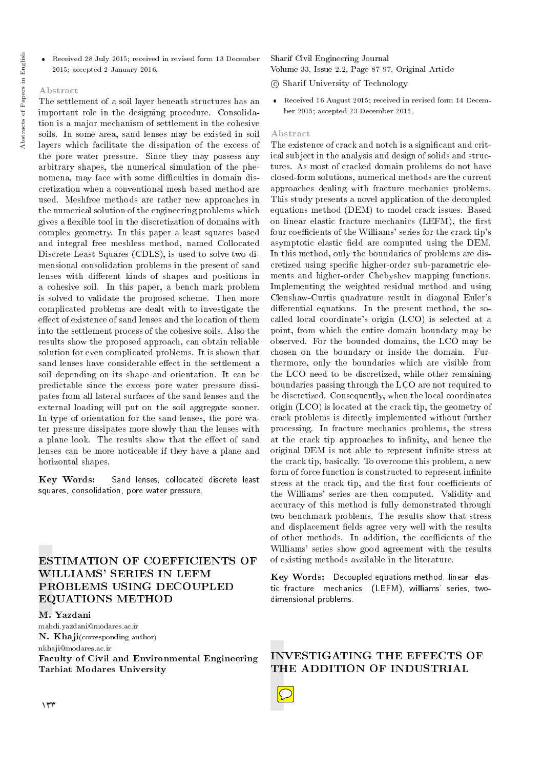- Abstracts of Papers in English Abstracts of Papers in English
- Received 28 July 2015; received in revised form 13 December 2015; accepted 2 January 2016.

## Abstract

The settlement of a soil layer beneath structures has an important role in the designing procedure. Consolidation is a major mechanism of settlement in the cohesive soils. In some area, sand lenses may be existed in soil layers which facilitate the dissipation of the excess of the pore water pressure. Since they may possess any arbitrary shapes, the numerical simulation of the phenomena, may face with some difficulties in domain discretization when a conventional mesh based method are used. Meshfree methods are rather new approaches in the numerical solution of the engineering problems which gives a flexible tool in the discretization of domains with complex geometry. In this paper a least squares based and integral free meshless method, named Collocated Discrete Least Squares (CDLS), is used to solve two dimensional consolidation problems in the present of sand lenses with different kinds of shapes and positions in a cohesive soil. In this paper, a bench mark problem is solved to validate the proposed scheme. Then more complicated problems are dealt with to investigate the effect of existence of sand lenses and the location of them into the settlement process of the cohesive soils. Also the results show the proposed approach, can obtain reliable solution for even complicated problems. It is shown that sand lenses have considerable effect in the settlement a soil depending on its shape and orientation. It can be predictable since the excess pore water pressure dissipates from all lateral surfaces of the sand lenses and the external loading will put on the soil aggregate sooner. In type of orientation for the sand lenses, the pore water pressure dissipates more slowly than the lenses with a plane look. The results show that the effect of sand lenses can be more noticeable if they have a plane and horizontal shapes.

Key Words: Sand lenses, collocated discrete least squares, consolidation, pore water pressure.

# ESTIMATION OF COEFFICIENTS OF WILLIAMS' SERIES IN LEFM PROBLEMS USING DECOUPLED EQUATIONS METHOD

## M. Yazdani

mahdi.yazdani@modares.ac.ir **N. Khaji**(corresponding author) nkhaji@modares.ac.ir

Faculty of Civil and Environmental Engineering Tarbiat Modares University

Sharif Civil Engineering Journal Volume 33, Issue 2.2, Page 87-97, Original Article

#### c Sharif University of Technology

 Received 16 August 2015; received in revised form 14 December 2015; accepted 23 December 2015.

#### Abstract

The existence of crack and notch is a signicant and critical subject in the analysis and design of solids and structures. As most of cracked domain problems do not have closed-form solutions, numerical methods are the current approaches dealing with fracture mechanics problems. This study presents a novel application of the decoupled equations method (DEM) to model crack issues. Based on linear elastic fracture mechanics (LEFM), the first four coefficients of the Williams' series for the crack tip's asymptotic elastic field are computed using the DEM. In this method, only the boundaries of problems are discretized using specic higher-order sub-parametric elements and higher-order Chebyshev mapping functions. Implementing the weighted residual method and using Clenshaw-Curtis quadrature result in diagonal Euler's differential equations. In the present method, the socalled local coordinate's origin (LCO) is selected at a point, from which the entire domain boundary may be observed. For the bounded domains, the LCO may be chosen on the boundary or inside the domain. Furthermore, only the boundaries which are visible from the LCO need to be discretized, while other remaining boundaries passing through the LCO are not required to be discretized. Consequently, when the local coordinates origin (LCO) is located at the crack tip, the geometry of crack problems is directly implemented without further processing. In fracture mechanics problems, the stress at the crack tip approaches to infinity, and hence the original DEM is not able to represent infinite stress at the crack tip, basically. To overcome this problem, a new form of force function is constructed to represent infinite stress at the crack tip, and the first four coefficients of the Williams' series are then computed. Validity and accuracy of this method is fully demonstrated through two benchmark problems. The results show that stress and displacement fields agree very well with the results of other methods. In addition, the coefficients of the Williams' series show good agreement with the results of existing methods available in the literature.

Key Words: Decoupled equations method, linear elastic fracture mechanics (LEFM), williams' series, twodimensional problems.

INVESTIGATING THE EFFECTS OF THE ADDITION OF INDUSTRIAL

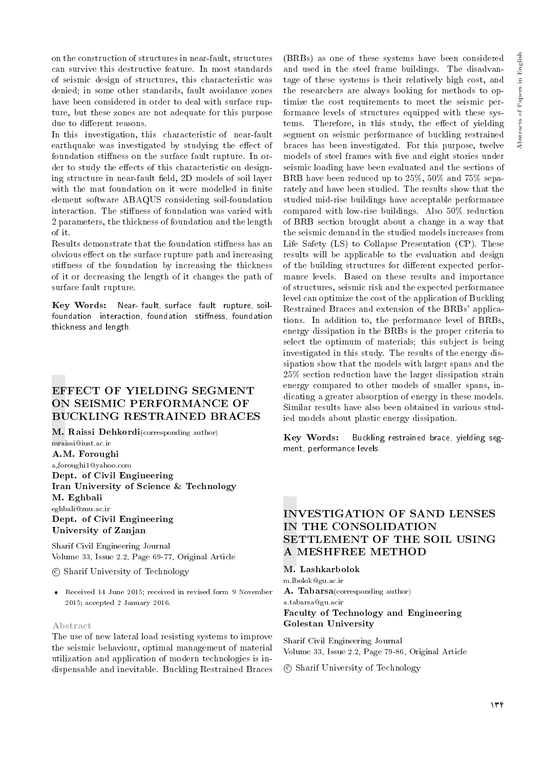on the construction of structures in near-fault, structures can survive this destructive feature. In most standards of seismic design of structures, this characteristic was denied; in some other standards, fault avoidance zones have been considered in order to deal with surface rupture, but these zones are not adequate for this purpose due to different reasons.

In this investigation, this characteristic of near-fault earthquake was investigated by studying the effect of foundation stiffness on the surface fault rupture. In order to study the effects of this characteristic on designing structure in near-fault field, 2D models of soil layer with the mat foundation on it were modelled in finite element software ABAQUS considering soil-foundation interaction. The stiffness of foundation was varied with 2 parameters, the thickness of foundation and the length of it.

Results demonstrate that the foundation stiffness has an obvious effect on the surface rupture path and increasing stiffness of the foundation by increasing the thickness of it or decreasing the length of it changes the path of surface fault rupture.

Key Words: Near- fault, surface fault rupture, soilfoundation interaction, foundation stiffness, foundation thickness and length.

# EFFECT OF YIELDING SEGMENT ON SEISMIC PERFORMANCE OF BUCKLING RESTRAINED BRACES

M. Raissi Dehkordi(corresponding author) mraissi@iust.ac.ir

A.M. Foroughi a foroughi1@yahoo.com Dept. of Civil Engineering Iran University of Science & Technology M. Eghbali eghbali@znu.ac.ir Dept. of Civil Engineering University of Zanjan

Sharif Civil Engineering Journal Volume 33, Issue 2.2, Page 69-77, Original Article

c Sharif University of Technology

 Received 14 June 2015; received in revised form 9 November 2015; accepted 2 January 2016.

## Abstract

The use of new lateral load resisting systems to improve the seismic behaviour, optimal management of material utilization and application of modern technologies is indispensable and inevitable. Buckling Restrained Braces

(BRBs) as one of these systems have been considered and used in the steel frame buildings. The disadvantage of these systems is their relatively high cost, and the researchers are always looking for methods to optimize the cost requirements to meet the seismic performance levels of structures equipped with these systems. Therefore, in this study, the effect of yielding segment on seismic performance of buckling restrained braces has been investigated. For this purpose, twelve models of steel frames with five and eight stories under seismic loading have been evaluated and the sections of BRB have been reduced up to 25%, 50% and 75% separately and have been studied. The results show that the studied mid-rise buildings have acceptable performance compared with low-rise buildings. Also 50% reduction of BRB section brought about a change in a way that the seismic demand in the studied models increases from Life Safety (LS) to Collapse Presentation (CP). These results will be applicable to the evaluation and design of the building structures for different expected performance levels. Based on these results and importance of structures, seismic risk and the expected performance level can optimize the cost of the application of Buckling Restrained Braces and extension of the BRBs' applications. In addition to, the performance level of BRBs, energy dissipation in the BRBs is the proper criteria to select the optimum of materials; this subject is being investigated in this study. The results of the energy dissipation show that the models with larger spans and the 25% section reduction have the larger dissipation strain energy compared to other models of smaller spans, indicating a greater absorption of energy in these models. Similar results have also been obtained in various studied models about plastic energy dissipation.

Key Words: Buckling restrained brace, yielding segment, performance levels.

# INVESTIGATION OF SAND LENSES IN THE CONSOLIDATION SETTLEMENT OF THE SOIL USING A MESHFREE METHOD

M. Lashkarbolok

m.lbolok@gu.ac.ir A. Tabarsa(corresponding author) a.tabarsa@gu.acir Faculty of Technology and Engineering Golestan University

Sharif Civil Engineering Journal Volume 33, Issue 2.2, Page 79-86, Original Article

c Sharif University of Technology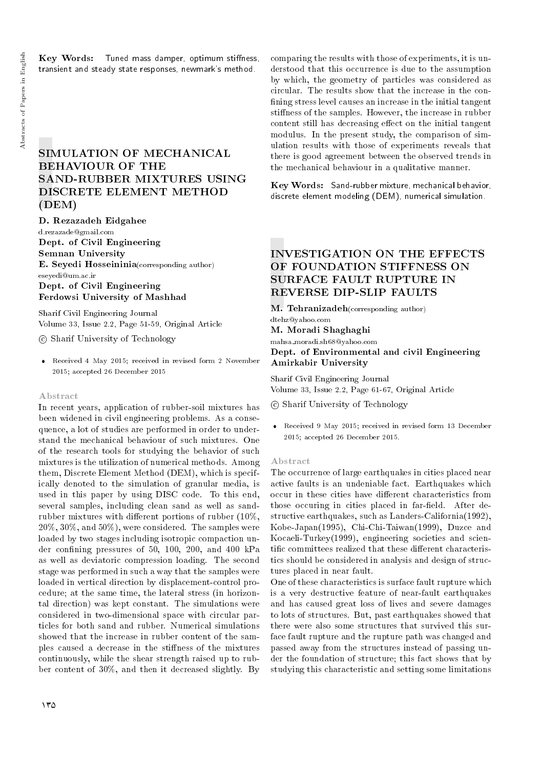## Key Words: Tuned mass damper, optimum stiffness, transient and steady state responses, newmark's method.

# SIMULATION OF MECHANICAL BEHAVIOUR OF THE SAND-RUBBER MIXTURES USING DISCRETE ELEMENT METHOD (DEM)

D. Rezazadeh Eidgahee

d.rezazade@gmail.com Dept. of Civil Engineering Semnan University E. Seyedi Hosseininia(corresponding author) eseyedi@um.ac.ir Dept. of Civil Engineering Ferdowsi University of Mashhad

Sharif Civil Engineering Journal Volume 33, Issue 2.2, Page 51-59, Original Article

c Sharif University of Technology

 Received 4 May 2015; received in revised form 2 November 2015; accepted 26 December 2015

#### Abstract

In recent years, application of rubber-soil mixtures has been widened in civil engineering problems. As a consequence, a lot of studies are performed in order to understand the mechanical behaviour of such mixtures. One of the research tools for studying the behavior of such mixtures is the utilization of numerical methods. Among them, Discrete Element Method (DEM), which is specifically denoted to the simulation of granular media, is used in this paper by using DISC code. To this end, several samples, including clean sand as well as sandrubber mixtures with different portions of rubber  $(10\%,$  $20\%, 30\%, \text{ and } 50\%$ , were considered. The samples were loaded by two stages including isotropic compaction under confining pressures of 50, 100, 200, and 400 kPa as well as deviatoric compression loading. The second stage was performed in such a way that the samples were loaded in vertical direction by displacement-control procedure; at the same time, the lateral stress (in horizontal direction) was kept constant. The simulations were considered in two-dimensional space with circular particles for both sand and rubber. Numerical simulations showed that the increase in rubber content of the samples caused a decrease in the stiffness of the mixtures continuously, while the shear strength raised up to rubber content of 30%, and then it decreased slightly. By comparing the results with those of experiments, it is understood that this occurrence is due to the assumption by which, the geometry of particles was considered as circular. The results show that the increase in the con fining stress level causes an increase in the initial tangent stiffness of the samples. However, the increase in rubber content still has decreasing effect on the initial tangent modulus. In the present study, the comparison of simulation results with those of experiments reveals that there is good agreement between the observed trends in the mechanical behaviour in a qualitative manner.

Key Words: Sand-rubber mixture, mechanical behavior, discrete element modeling (DEM), numerical simulation.

# INVESTIGATION ON THE EFFECTS OF FOUNDATION STIFFNESS ON SURFACE FAULT RUPTURE IN REVERSE DIP-SLIP FAULTS

M. Tehranizadeh(corresponding author)

dtehz@yahoo.com M. Moradi Shaghaghi

mahsa moradi.sh68@yahoo.com

Dept. of Environmental and civil Engineering Amirkabir University

Sharif Civil Engineering Journal Volume 33, Issue 2.2, Page 61-67, Original Article

c Sharif University of Technology

 Received 9 May 2015; received in revised form 13 December 2015; accepted 26 December 2015.

#### Abstract

The occurrence of large earthquakes in cities placed near active faults is an undeniable fact. Earthquakes which occur in these cities have different characteristics from those occuring in cities placed in far-field. After destructive earthquakes, such as Landers-California(1992), Kobe-Japan(1995), Chi-Chi-Taiwan(1999), Duzce and Kocaeli-Turkey(1999), engineering societies and scientific committees realized that these different characteristics should be considered in analysis and design of structures placed in near fault.

One of these characteristics is surface fault rupture which is a very destructive feature of near-fault earthquakes and has caused great loss of lives and severe damages to lots of structures. But, past earthquakes showed that there were also some structures that survived this surface fault rupture and the rupture path was changed and passed away from the structures instead of passing under the foundation of structure; this fact shows that by studying this characteristic and setting some limitations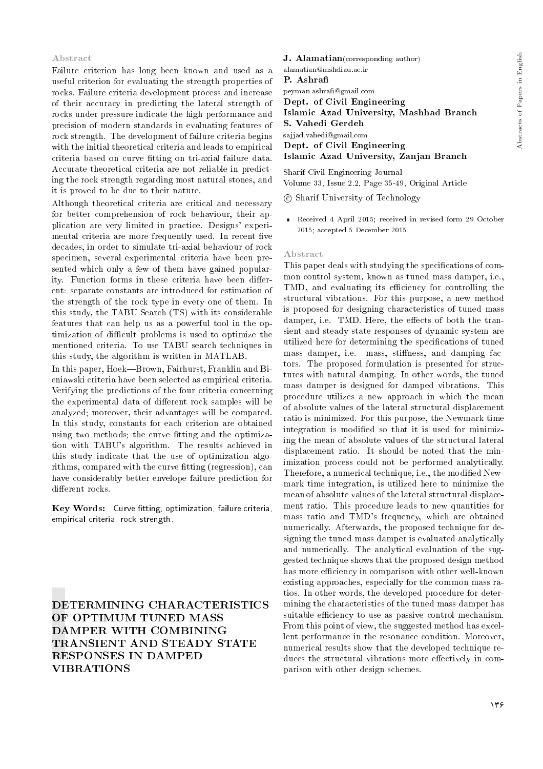## Abstract

Failure criterion has long been known and used as a useful criterion for evaluating the strength properties of rocks. Failure criteria development process and increase of their accuracy in predicting the lateral strength of rocks under pressure indicate the high performance and precision of modern standards in evaluating features of rock strength. The development of failure criteria begins with the initial theoretical criteria and leads to empirical criteria based on curve fitting on tri-axial failure data. Accurate theoretical criteria are not reliable in predicting the rock strength regarding most natural stones, and it is proved to be due to their nature.

Although theoretical criteria are critical and necessary for better comprehension of rock behaviour, their application are very limited in practice. Designs' experimental criteria are more frequently used. In recent five decades, in order to simulate tri-axial behaviour of rock specimen, several experimental criteria have been presented which only a few of them have gained popularity. Function forms in these criteria have been different: separate constants are introduced for estimation of the strength of the rock type in every one of them. In this study, the TABU Search (TS) with its considerable features that can help us as a powerful tool in the optimization of difficult problems is used to optimize the mentioned criteria. To use TABU search techniques in this study, the algorithm is written in MATLAB.

In this paper, Hoek-Brown, Fairhurst, Franklin and Bieniawski criteria have been selected as empirical criteria. Verifying the predictions of the four criteria concerning the experimental data of different rock samples will be analyzed; moreover, their advantages will be compared. In this study, constants for each criterion are obtained using two methods; the curve fitting and the optimization with TABU's algorithm. The results achieved in this study indicate that the use of optimization algorithms, compared with the curve fitting (regression), can have considerably better envelope failure prediction for different rocks.

Key Words: Curve fitting, optimization, failure criteria, empirical criteria, rock strength.

DETERMINING CHARACTERISTICS OF OPTIMUM TUNED MASS DAMPER WITH COMBINING TRANSIENT AND STEADY STATE RESPONSES IN DAMPED VIBRATIONS

J. Alamatian(corresponding author)

alamatian@mshdiau.ac.ir P. Ashra

peyman.ashra@gmail.com Dept. of Civil Engineering Islamic Azad University, Mashhad Branch S. Vahedi Gerdeh sajjad.vahedi@gmail.com Dept. of Civil Engineering Islamic Azad University, Zanjan Branch

Sharif Civil Engineering Journal Volume 33, Issue 2.2, Page 35-49, Original Article

c Sharif University of Technology

 Received 4 April 2015; received in revised form 29 October 2015; accepted 5 December 2015.

## Abstract

This paper deals with studying the specifications of common control system, known as tuned mass damper, i.e., TMD, and evaluating its efficiency for controlling the structural vibrations. For this purpose, a new method is proposed for designing characteristics of tuned mass damper, i.e. TMD. Here, the effects of both the transient and steady state responses of dynamic system are utilized here for determining the specications of tuned mass damper, i.e. mass, stiffness, and damping factors. The proposed formulation is presented for structures with natural damping. In other words, the tuned mass damper is designed for damped vibrations. This procedure utilizes a new approach in which the mean of absolute values of the lateral structural displacement ratio is minimized. For this purpose, the Newmark time integration is modified so that it is used for minimizing the mean of absolute values of the structural lateral displacement ratio. It should be noted that the minimization process could not be performed analytically. Therefore, a numerical technique, i.e., the modified Newmark time integration, is utilized here to minimize the mean of absolute values of the lateral structural displacement ratio. This procedure leads to new quantities for mass ratio and TMD's frequency, which are obtained numerically. Afterwards, the proposed technique for designing the tuned mass damper is evaluated analytically and numerically. The analytical evaluation of the suggested technique shows that the proposed design method has more efficiency in comparison with other well-known existing approaches, especially for the common mass ratios. In other words, the developed procedure for determining the characteristics of the tuned mass damper has suitable efficiency to use as passive control mechanism. From this point of view, the suggested method has excellent performance in the resonance condition. Moreover, numerical results show that the developed technique reduces the structural vibrations more effectively in comparison with other design schemes.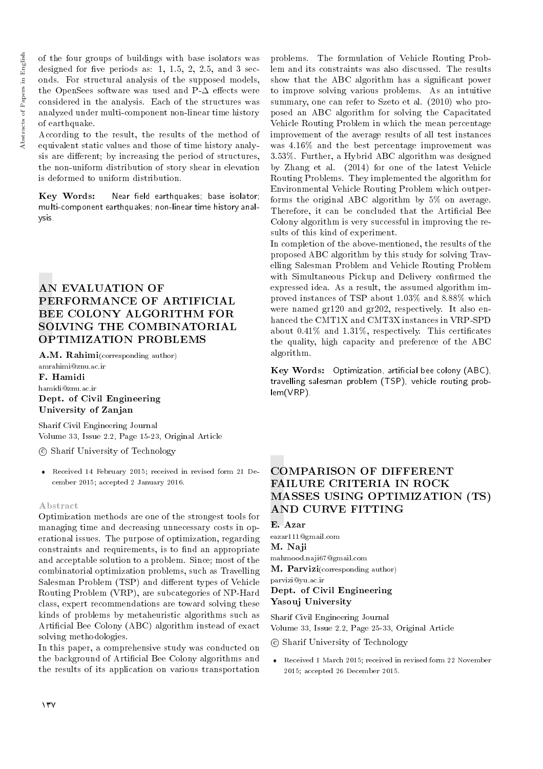of the four groups of buildings with base isolators was designed for five periods as: 1, 1.5, 2, 2.5, and 3 seconds. For structural analysis of the supposed models, the OpenSees software was used and  $P-\Delta$  effects were considered in the analysis. Each of the structures was analyzed under multi-component non-linear time history of earthquake.

According to the result, the results of the method of equivalent static values and those of time history analysis are different; by increasing the period of structures, the non-uniform distribution of story shear in elevation is deformed to uniform distribution.

Key Words: Near field earthquakes; base isolator; multi-component earthquakes; non-linear time history analysis.

# AN EVALUATION OF PERFORMANCE OF ARTIFICIAL BEE COLONY ALGORITHM FOR SOLVING THE COMBINATORIAL OPTIMIZATION PROBLEMS

A.M. Rahimi(corresponding author)

amrahimi@znu.ac.ir F. Hamidi hamidi@znu.ac.ir Dept. of Civil Engineering University of Zanjan

Sharif Civil Engineering Journal Volume 33, Issue 2.2, Page 15-23, Original Article

c Sharif University of Technology

 Received 14 February 2015; received in revised form 21 December 2015; accepted 2 January 2016.

## Abstract

Optimization methods are one of the strongest tools for managing time and decreasing unnecessary costs in operational issues. The purpose of optimization, regarding constraints and requirements, is to find an appropriate and acceptable solution to a problem. Since; most of the combinatorial optimization problems, such as Travelling Salesman Problem (TSP) and different types of Vehicle Routing Problem (VRP), are subcategories of NP-Hard class, expert recommendations are toward solving these kinds of problems by metaheuristic algorithms such as Articial Bee Colony (ABC) algorithm instead of exact solving methodologies.

In this paper, a comprehensive study was conducted on the background of Articial Bee Colony algorithms and the results of its application on various transportation

problems. The formulation of Vehicle Routing Problem and its constraints was also discussed. The results show that the ABC algorithm has a signicant power to improve solving various problems. As an intuitive summary, one can refer to Szeto et al. (2010) who proposed an ABC algorithm for solving the Capacitated Vehicle Routing Problem in which the mean percentage improvement of the average results of all test instances was 4.16% and the best percentage improvement was 3.53%. Further, a Hybrid ABC algorithm was designed by Zhang et al. (2014) for one of the latest Vehicle Routing Problems. They implemented the algorithm for Environmental Vehicle Routing Problem which outperforms the original ABC algorithm by 5% on average. Therefore, it can be concluded that the Artificial Bee Colony algorithm is very successful in improving the results of this kind of experiment.

In completion of the above-mentioned, the results of the proposed ABC algorithm by this study for solving Travelling Salesman Problem and Vehicle Routing Problem with Simultaneous Pickup and Delivery confirmed the expressed idea. As a result, the assumed algorithm improved instances of TSP about 1.03% and 8.88% which were named gr120 and gr202, respectively. It also enhanced the CMT1X and CMT3X instances in VRP-SPD about  $0.41\%$  and  $1.31\%$ , respectively. This certificates the quality, high capacity and preference of the ABC algorithm.

Key Words: Optimization, artificial bee colony (ABC), travelling salesman problem (TSP), vehicle routing problem(VRP).

# COMPARISON OF DIFFERENT FAILURE CRITERIA IN ROCK MASSES USING OPTIMIZATION (TS) AND CURVE FITTING

E. Azar

eazar111@gmail.com M. Naji mahmood.naji67@gmail.com M. Parvizi(corresponding author) parvizi@yu.ac.ir

# Dept. of Civil Engineering Yasouj University

Sharif Civil Engineering Journal Volume 33, Issue 2.2, Page 25-33, Original Article

c Sharif University of Technology

 Received 1 March 2015; received in revised form 22 November 2015; accepted 26 December 2015.